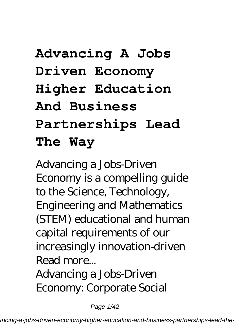# **Advancing A Jobs Driven Economy Higher Education And Business Partnerships Lead The Way**

Advancing a Jobs-Driven Economy is a compelling guide to the Science, Technology, Engineering and Mathematics (STEM) educational and human capital requirements of our increasingly innovation-driven Read more...

Advancing a Jobs-Driven Economy: Corporate Social

Page 1/42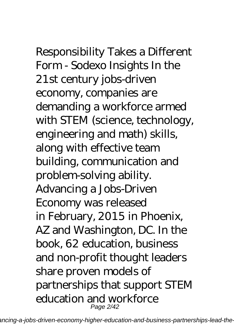# Responsibility Takes a Different

Form - Sodexo Insights In the 21st century jobs-driven economy, companies are demanding a workforce armed with STEM (science, technology, engineering and math) skills, along with effective team building, communication and problem-solving ability. Advancing a Jobs-Driven Economy was released in February, 2015 in Phoenix, AZ and Washington, DC. In the book, 62 education, business and non-profit thought leaders share proven models of partnerships that support STEM education and workforce Page 2/42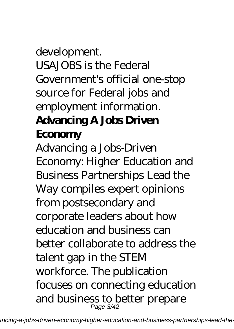# development. USAJOBS is the Federal Government's official one-stop source for Federal jobs and employment information. **Advancing A Jobs Driven Economy**

Advancing a Jobs-Driven Economy: Higher Education and Business Partnerships Lead the Way compiles expert opinions from postsecondary and corporate leaders about how education and business can better collaborate to address the talent gap in the STEM workforce. The publication focuses on connecting education and business to better prepare Page 3/42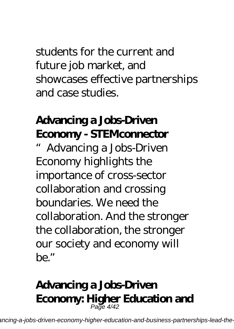students for the current and future job market, and showcases effective partnerships and case studies.

# **Advancing a Jobs-Driven Economy - STEMconnector**

Advancing a Jobs-Driven Economy highlights the importance of cross-sector collaboration and crossing boundaries. We need the collaboration. And the stronger the collaboration, the stronger our society and economy will be."

#### **Advancing a Jobs-Driven Economy: Higher Education and** Page 4/42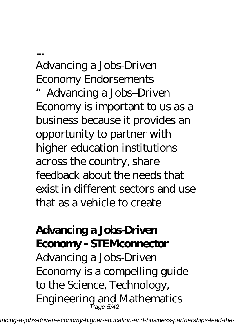Advancing a Jobs-Driven Economy Endorsements

**...**

"Advancing a Jobs–Driven Economy is important to us as a business because it provides an opportunity to partner with higher education institutions across the country, share feedback about the needs that exist in different sectors and use that as a vehicle to create

## **Advancing a Jobs-Driven Economy - STEMconnector**

Advancing a Jobs-Driven Economy is a compelling guide to the Science, Technology, Engineering and Mathematics Page 5/42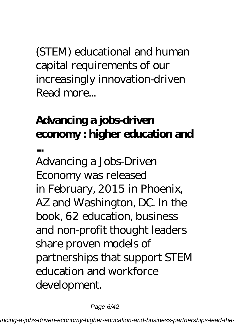(STEM) educational and human capital requirements of our increasingly innovation-driven Read more...

# **Advancing a jobs-driven economy : higher education and**

**...**

Advancing a Jobs-Driven Economy was released in February, 2015 in Phoenix, AZ and Washington, DC. In the book, 62 education, business and non-profit thought leaders share proven models of partnerships that support STEM education and workforce development.

Page 6/42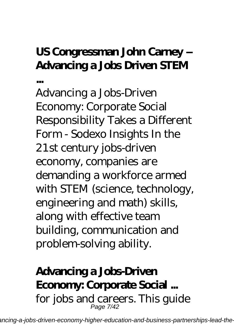# **US Congressman John Carney – Advancing a Jobs Driven STEM**

**...**

Advancing a Jobs-Driven Economy: Corporate Social Responsibility Takes a Different Form - Sodexo Insights In the 21st century jobs-driven economy, companies are demanding a workforce armed with STEM (science, technology, engineering and math) skills, along with effective team building, communication and problem-solving ability.

### **Advancing a Jobs-Driven Economy: Corporate Social ...** for jobs and careers. This guide Page 7/42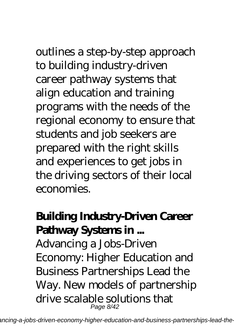outlines a step-by-step approach to building industry-driven career pathway systems that align education and training programs with the needs of the regional economy to ensure that students and job seekers are prepared with the right skills and experiences to get jobs in the driving sectors of their local economies.

# **Building Industry-Driven Career Pathway Systems in ...**

Advancing a Jobs-Driven Economy: Higher Education and Business Partnerships Lead the Way. New models of partnership drive scalable solutions that Page 8/42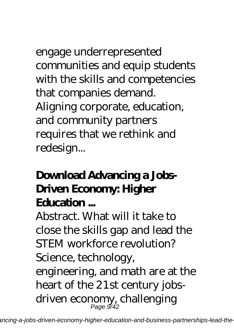engage underrepresented communities and equip students with the skills and competencies that companies demand. Aligning corporate, education, and community partners requires that we rethink and redesign...

# **Download Advancing a Jobs-Driven Economy: Higher Education ...**

Abstract. What will it take to close the skills gap and lead the STEM workforce revolution? Science, technology, engineering, and math are at the heart of the 21st century jobsdriven economy, challenging Page 9/42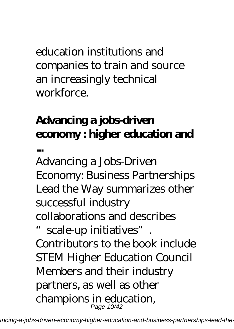education institutions and companies to train and source an increasingly technical workforce.

# **Advancing a jobs-driven economy : higher education and**

**...**

Advancing a Jobs-Driven Economy: Business Partnerships Lead the Way summarizes other successful industry collaborations and describes scale-up initiatives". Contributors to the book include STEM Higher Education Council Members and their industry partners, as well as other champions in education, Page 10/42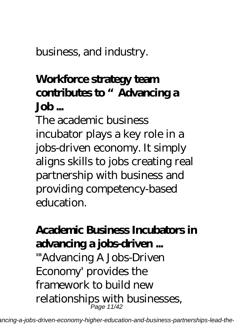business, and industry.

# **Workforce strategy team contributes to "Advancing a Job ...**

The academic business incubator plays a key role in a jobs-driven economy. It simply aligns skills to jobs creating real partnership with business and providing competency-based education.

# **Academic Business Incubators in advancing a jobs-driven ...**

"'Advancing A Jobs-Driven Economy' provides the framework to build new relationships with businesses, Page 11/42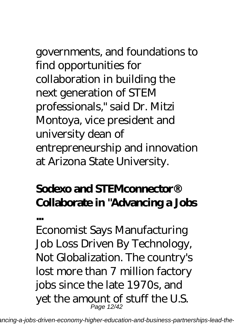governments, and foundations to find opportunities for collaboration in building the next generation of STEM professionals," said Dr. Mitzi Montoya, vice president and university dean of entrepreneurship and innovation at Arizona State University.

# **Sodexo and STEMconnector® Collaborate in "Advancing a Jobs**

**...**

Economist Says Manufacturing Job Loss Driven By Technology, Not Globalization. The country's lost more than 7 million factory jobs since the late 1970s, and yet the amount of stuff the U.S. Page 12/42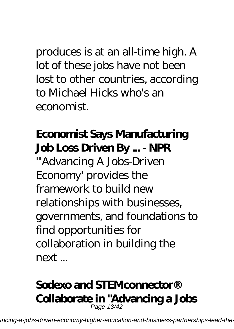produces is at an all-time high. A lot of these jobs have not been lost to other countries, according to Michael Hicks who's an economist.

# **Economist Says Manufacturing Job Loss Driven By ... - NPR**

"'Advancing A Jobs-Driven Economy' provides the framework to build new relationships with businesses, governments, and foundations to find opportunities for collaboration in building the next ...

#### **Sodexo and STEMconnector® Collaborate in "Advancing a Jobs** Page 13/42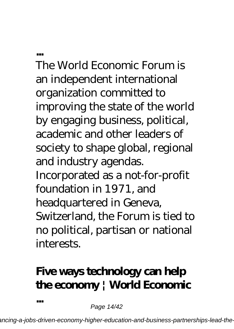**...**

**...**

The World Economic Forum is an independent international organization committed to improving the state of the world by engaging business, political, academic and other leaders of society to shape global, regional and industry agendas. Incorporated as a not-for-profit foundation in 1971, and headquartered in Geneva, Switzerland, the Forum is tied to no political, partisan or national interests.

# **Five ways technology can help the economy | World Economic**

Page 14/42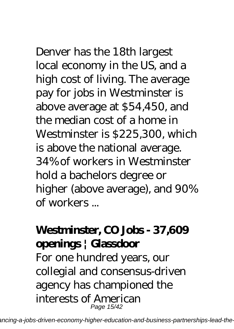Denver has the 18th largest local economy in the US, and a high cost of living. The average pay for jobs in Westminster is above average at \$54,450, and the median cost of a home in Westminster is \$225,300, which is above the national average. 34% of workers in Westminster hold a bachelors degree or higher (above average), and 90% of workers ...

# **Westminster, CO Jobs - 37,609 openings | Glassdoor**

For one hundred years, our collegial and consensus-driven agency has championed the interests of American Page 15/42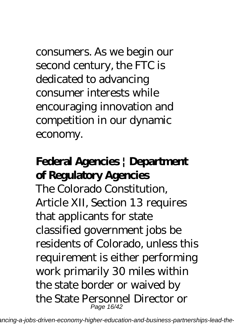consumers. As we begin our second century, the FTC is dedicated to advancing consumer interests while encouraging innovation and competition in our dynamic economy.

# **Federal Agencies | Department of Regulatory Agencies**

The Colorado Constitution, Article XII, Section 13 requires that applicants for state classified government jobs be residents of Colorado, unless this requirement is either performing work primarily 30 miles within the state border or waived by the State Personnel Director or Page 16/42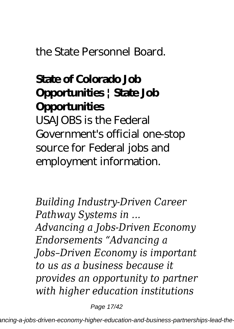### the State Personnel Board.

# **State of Colorado Job Opportunities | State Job Opportunities**

USAJOBS is the Federal Government's official one-stop source for Federal jobs and employment information.

*Building Industry-Driven Career Pathway Systems in ... Advancing a Jobs-Driven Economy Endorsements "Advancing a Jobs–Driven Economy is important to us as a business because it provides an opportunity to partner with higher education institutions*

Page 17/42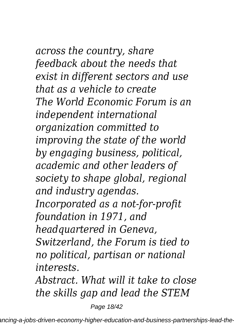# *across the country, share feedback about the needs that exist in different sectors and use*

*that as a vehicle to create The World Economic Forum is an independent international organization committed to improving the state of the world by engaging business, political, academic and other leaders of society to shape global, regional and industry agendas. Incorporated as a not-for-profit foundation in 1971, and headquartered in Geneva, Switzerland, the Forum is tied to no political, partisan or national interests.*

*Abstract. What will it take to close the skills gap and lead the STEM*

Page 18/42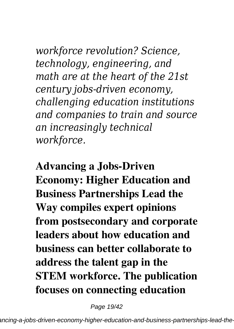*workforce revolution? Science, technology, engineering, and math are at the heart of the 21st century jobs-driven economy, challenging education institutions and companies to train and source an increasingly technical workforce.*

**Advancing a Jobs-Driven Economy: Higher Education and Business Partnerships Lead the Way compiles expert opinions from postsecondary and corporate leaders about how education and business can better collaborate to address the talent gap in the STEM workforce. The publication focuses on connecting education**

Page 19/42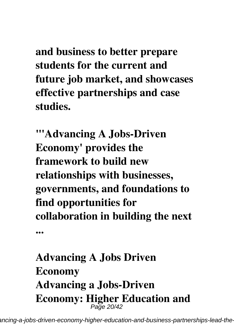**and business to better prepare students for the current and future job market, and showcases effective partnerships and case studies.**

**"'Advancing A Jobs-Driven Economy' provides the framework to build new relationships with businesses, governments, and foundations to find opportunities for collaboration in building the next**

**Advancing A Jobs Driven Economy Advancing a Jobs-Driven Economy: Higher Education and** Page 20/42

**...**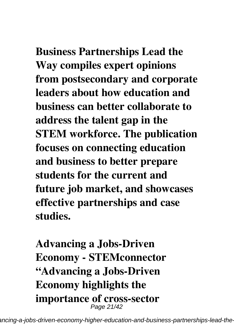**Business Partnerships Lead the Way compiles expert opinions from postsecondary and corporate leaders about how education and business can better collaborate to address the talent gap in the STEM workforce. The publication focuses on connecting education and business to better prepare students for the current and future job market, and showcases effective partnerships and case**

**studies.**

**Advancing a Jobs-Driven Economy - STEMconnector "Advancing a Jobs-Driven Economy highlights the importance of cross-sector** Page 21/42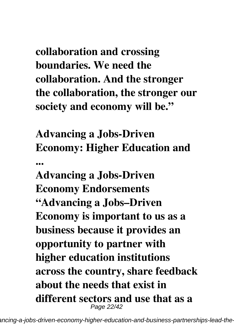**collaboration and crossing boundaries. We need the collaboration. And the stronger the collaboration, the stronger our society and economy will be."**

**Advancing a Jobs-Driven Economy: Higher Education and ...**

**Advancing a Jobs-Driven Economy Endorsements "Advancing a Jobs–Driven Economy is important to us as a business because it provides an opportunity to partner with higher education institutions across the country, share feedback about the needs that exist in different sectors and use that as a** Page 22/42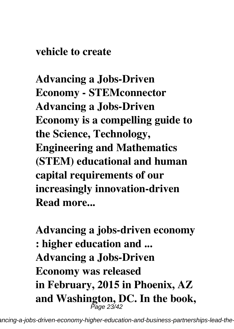#### **vehicle to create**

**Advancing a Jobs-Driven Economy - STEMconnector Advancing a Jobs-Driven Economy is a compelling guide to the Science, Technology, Engineering and Mathematics (STEM) educational and human capital requirements of our increasingly innovation-driven Read more...**

**Advancing a jobs-driven economy : higher education and ... Advancing a Jobs-Driven Economy was released in February, 2015 in Phoenix, AZ and Washington, DC. In the book,** Page 23/42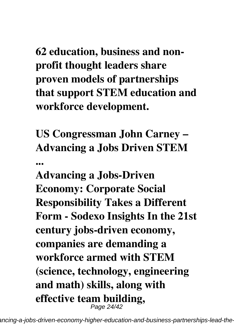**62 education, business and nonprofit thought leaders share proven models of partnerships that support STEM education and workforce development.**

**US Congressman John Carney – Advancing a Jobs Driven STEM ...**

**Advancing a Jobs-Driven Economy: Corporate Social Responsibility Takes a Different Form - Sodexo Insights In the 21st century jobs-driven economy, companies are demanding a workforce armed with STEM (science, technology, engineering and math) skills, along with effective team building,** Page 24/42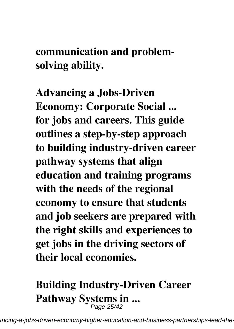**communication and problemsolving ability.**

**Advancing a Jobs-Driven Economy: Corporate Social ... for jobs and careers. This guide outlines a step-by-step approach to building industry-driven career pathway systems that align education and training programs with the needs of the regional economy to ensure that students and job seekers are prepared with the right skills and experiences to get jobs in the driving sectors of their local economies.**

# **Building Industry-Driven Career** Pathway Systems in ...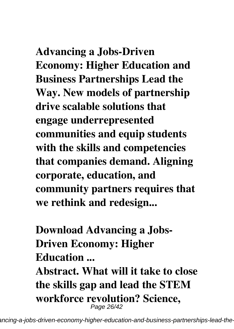**Advancing a Jobs-Driven Economy: Higher Education and Business Partnerships Lead the Way. New models of partnership drive scalable solutions that engage underrepresented communities and equip students**

**with the skills and competencies that companies demand. Aligning corporate, education, and community partners requires that we rethink and redesign...**

**Download Advancing a Jobs-Driven Economy: Higher Education ...**

**Abstract. What will it take to close the skills gap and lead the STEM workforce revolution? Science,** Page 26/42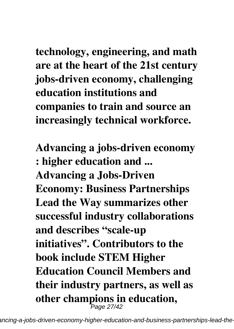**technology, engineering, and math are at the heart of the 21st century jobs-driven economy, challenging education institutions and companies to train and source an increasingly technical workforce.**

**Advancing a jobs-driven economy : higher education and ... Advancing a Jobs-Driven Economy: Business Partnerships Lead the Way summarizes other successful industry collaborations and describes "scale-up initiatives". Contributors to the book include STEM Higher Education Council Members and their industry partners, as well as other champions in education,** Page 27/42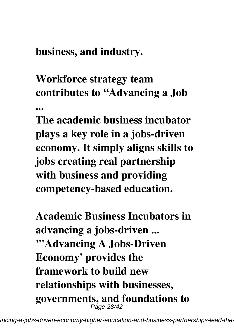**business, and industry.**

**Workforce strategy team contributes to "Advancing a Job ...**

**The academic business incubator plays a key role in a jobs-driven economy. It simply aligns skills to jobs creating real partnership with business and providing competency-based education.**

**Academic Business Incubators in advancing a jobs-driven ... "'Advancing A Jobs-Driven Economy' provides the framework to build new relationships with businesses, governments, and foundations to** Page 28/42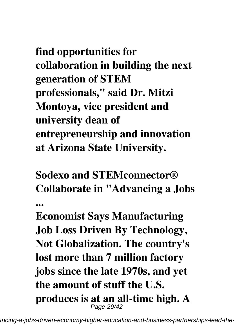**find opportunities for collaboration in building the next generation of STEM professionals," said Dr. Mitzi Montoya, vice president and university dean of entrepreneurship and innovation at Arizona State University.**

**Sodexo and STEMconnector® Collaborate in "Advancing a Jobs**

**...**

**Economist Says Manufacturing Job Loss Driven By Technology, Not Globalization. The country's lost more than 7 million factory jobs since the late 1970s, and yet the amount of stuff the U.S. produces is at an all-time high. A** Page 29/42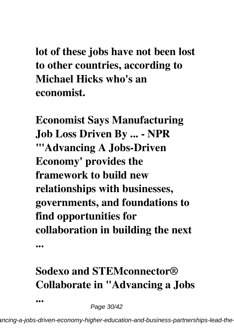**lot of these jobs have not been lost to other countries, according to Michael Hicks who's an economist.**

**Economist Says Manufacturing Job Loss Driven By ... - NPR "'Advancing A Jobs-Driven Economy' provides the framework to build new relationships with businesses, governments, and foundations to find opportunities for collaboration in building the next**

# **Sodexo and STEMconnector® Collaborate in "Advancing a Jobs**

Page 30/42

**...**

**...**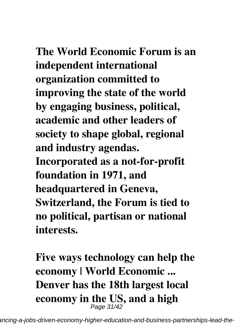# **The World Economic Forum is an**

**independent international organization committed to improving the state of the world by engaging business, political, academic and other leaders of society to shape global, regional and industry agendas. Incorporated as a not-for-profit foundation in 1971, and headquartered in Geneva, Switzerland, the Forum is tied to no political, partisan or national interests.**

**Five ways technology can help the economy | World Economic ... Denver has the 18th largest local economy in the US, and a high** Page 31/42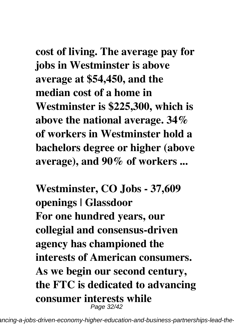**cost of living. The average pay for jobs in Westminster is above average at \$54,450, and the median cost of a home in Westminster is \$225,300, which is above the national average. 34% of workers in Westminster hold a bachelors degree or higher (above average), and 90% of workers ...**

**Westminster, CO Jobs - 37,609 openings | Glassdoor For one hundred years, our collegial and consensus-driven agency has championed the interests of American consumers. As we begin our second century, the FTC is dedicated to advancing consumer interests while** Page 32/42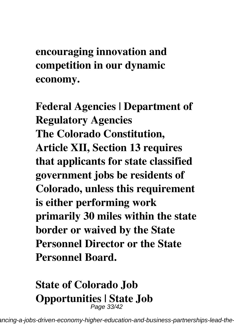**encouraging innovation and competition in our dynamic economy.**

**Federal Agencies | Department of Regulatory Agencies The Colorado Constitution, Article XII, Section 13 requires that applicants for state classified government jobs be residents of Colorado, unless this requirement is either performing work primarily 30 miles within the state border or waived by the State Personnel Director or the State Personnel Board.**

#### **State of Colorado Job Opportunities | State Job** Page 33/42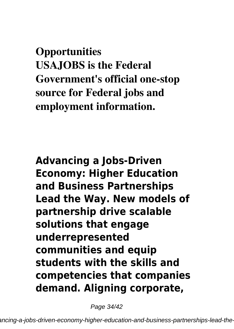**Opportunities USAJOBS is the Federal Government's official one-stop source for Federal jobs and employment information.**

**Advancing a Jobs-Driven Economy: Higher Education and Business Partnerships Lead the Way. New models of partnership drive scalable solutions that engage underrepresented communities and equip students with the skills and competencies that companies demand. Aligning corporate,**

Page 34/42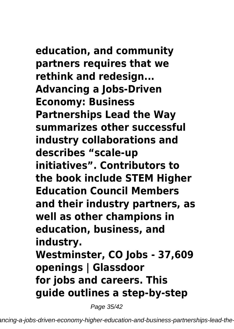**education, and community partners requires that we rethink and redesign... Advancing a Jobs-Driven Economy: Business Partnerships Lead the Way summarizes other successful industry collaborations and describes "scale-up initiatives". Contributors to the book include STEM Higher Education Council Members and their industry partners, as well as other champions in education, business, and industry. Westminster, CO Jobs - 37,609 openings | Glassdoor for jobs and careers. This guide outlines a step-by-step**

Page 35/42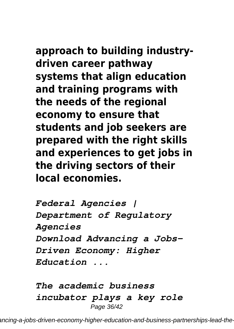**approach to building industrydriven career pathway systems that align education and training programs with the needs of the regional economy to ensure that students and job seekers are prepared with the right skills and experiences to get jobs in the driving sectors of their local economies.**

*Federal Agencies | Department of Regulatory Agencies Download Advancing a Jobs-Driven Economy: Higher Education ...*

*The academic business incubator plays a key role* Page 36/42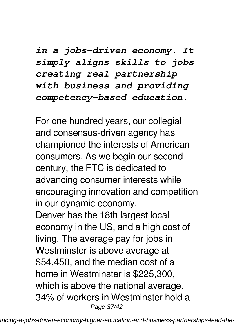*in a jobs-driven economy. It simply aligns skills to jobs creating real partnership with business and providing competency-based education.*

For one hundred years, our collegial and consensus-driven agency has championed the interests of American consumers. As we begin our second century, the FTC is dedicated to advancing consumer interests while encouraging innovation and competition in our dynamic economy. Denver has the 18th largest local economy in the US, and a high cost of living. The average pay for jobs in Westminster is above average at \$54,450, and the median cost of a home in Westminster is \$225,300, which is above the national average. 34% of workers in Westminster hold a Page 37/42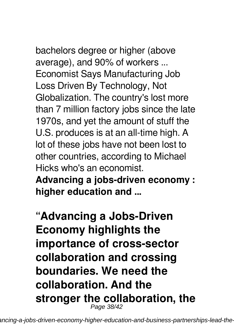bachelors degree or higher (above average), and 90% of workers ... Economist Says Manufacturing Job Loss Driven By Technology, Not Globalization. The country's lost more than 7 million factory jobs since the late 1970s, and yet the amount of stuff the U.S. produces is at an all-time high. A lot of these jobs have not been lost to other countries, according to Michael Hicks who's an economist.

**Advancing a jobs-driven economy : higher education and ...**

**"Advancing a Jobs-Driven Economy highlights the importance of cross-sector collaboration and crossing boundaries. We need the collaboration. And the stronger the collaboration, the** Page 38/42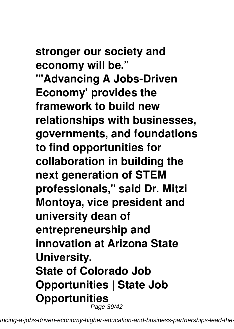**stronger our society and economy will be." "'Advancing A Jobs-Driven Economy' provides the framework to build new relationships with businesses, governments, and foundations to find opportunities for collaboration in building the next generation of STEM professionals," said Dr. Mitzi Montoya, vice president and university dean of entrepreneurship and innovation at Arizona State University. State of Colorado Job Opportunities | State Job Opportunities** Page 39/42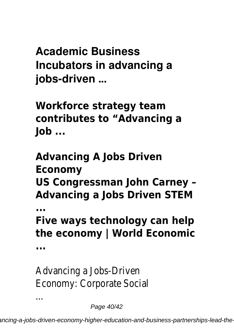**Academic Business Incubators in advancing a jobs-driven ...**

**Workforce strategy team contributes to "Advancing a Job ...**

**Advancing A Jobs Driven Economy US Congressman John Carney – Advancing a Jobs Driven STEM ... Five ways technology can help**

**the economy | World Economic**

**...**

...

Advancing a Jobs-Driven Economy: Corporate Social

Page 40/42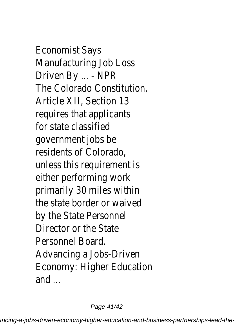Economist Says Manufacturing Job Loss Driven By ... - NPR The Colorado Constitution, Article XII, Section 13 requires that applicants for state classified government jobs be residents of Colorado, unless this requirement is either performing work primarily 30 miles within the state border or waived by the State Personnel Director or the State Personnel Board. Advancing a Jobs-Driven Economy: Higher Education and ...